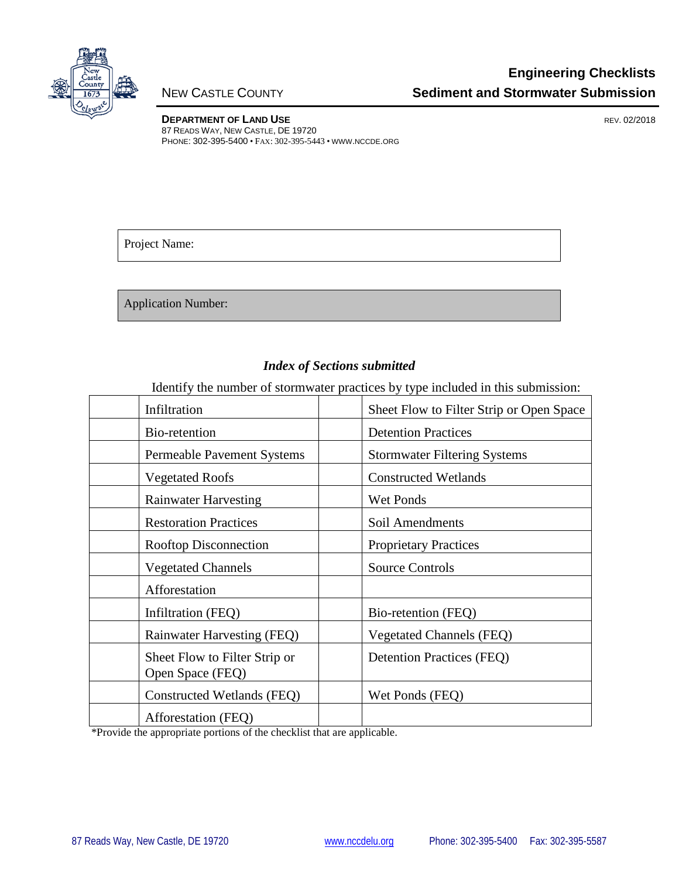

**DEPARTMENT OF LAND USE REV. 02/2018** 87 READS WAY, NEW CASTLE, DE 19720 PHONE: 302-395-5400 • FAX: 302-395-5443 • WWW.NCCDE.ORG

Project Name:

Application Number:

#### *Index of Sections submitted*

Identify the number of stormwater practices by type included in this submission:

| Infiltration                                      | Sheet Flow to Filter Strip or Open Space |  |
|---------------------------------------------------|------------------------------------------|--|
| Bio-retention                                     | <b>Detention Practices</b>               |  |
| <b>Permeable Pavement Systems</b>                 | <b>Stormwater Filtering Systems</b>      |  |
| <b>Vegetated Roofs</b>                            | <b>Constructed Wetlands</b>              |  |
| <b>Rainwater Harvesting</b>                       | <b>Wet Ponds</b>                         |  |
| <b>Restoration Practices</b>                      | Soil Amendments                          |  |
| <b>Rooftop Disconnection</b>                      | <b>Proprietary Practices</b>             |  |
| <b>Vegetated Channels</b>                         | <b>Source Controls</b>                   |  |
| Afforestation                                     |                                          |  |
| Infiltration (FEQ)                                | Bio-retention (FEQ)                      |  |
| <b>Rainwater Harvesting (FEQ)</b>                 | <b>Vegetated Channels (FEQ)</b>          |  |
| Sheet Flow to Filter Strip or<br>Open Space (FEQ) | <b>Detention Practices (FEQ)</b>         |  |
| Constructed Wetlands (FEQ)                        | Wet Ponds (FEQ)                          |  |
| Afforestation (FEQ)                               |                                          |  |

\*Provide the appropriate portions of the checklist that are applicable.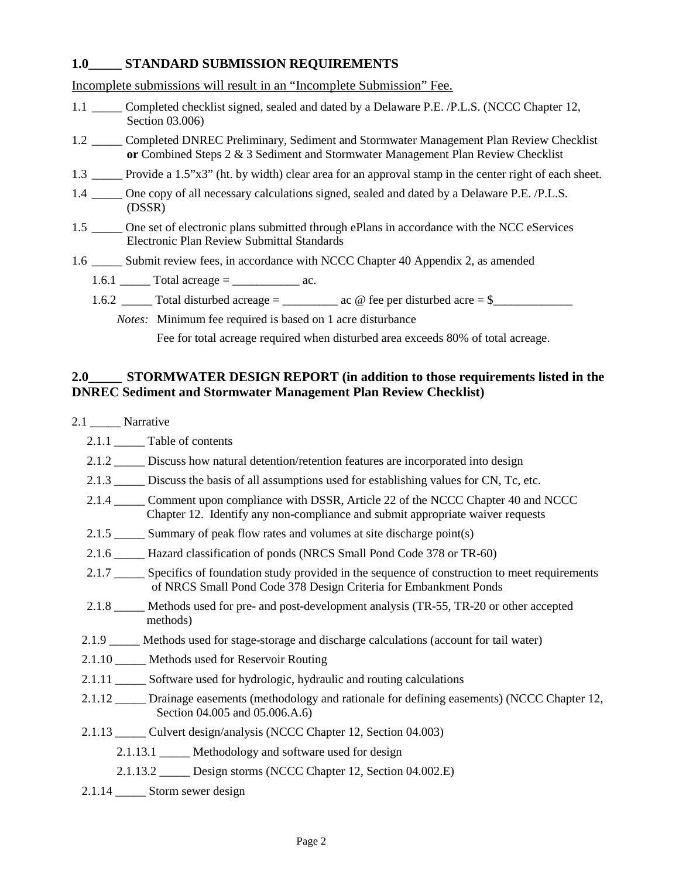### 1.0<sup>N/A</sup> STANDARD SUBMISSION REQUIREMENTS  $\frac{\text{N/A}}{\text{omp}}$ <br>N/A

Incomplete submissions will result in an "Incomplete Submission" Fee.

- 1.1  $N/\sqrt{\bullet}$  Completed checklist signed, sealed and dated by a Delaware P.E. /P.L.S. (NCCC Chapter 12, Section 03.006)
- 1.2 N/A Completed DNREC Preliminary, Sediment and Stormwater Management Plan Review Checklist **or** Combined Steps 2 & 3 Sediment and Stormwater Management Plan Review Checklist
- Provide a 1.5"x3" (ht. by width) clear area for an approval stamp in the center right of each sheet. 1.3  $N/A - 1$
- 1.4  $N/$  One copy of all necessary calculations signed, sealed and dated by a Delaware P.E. /P.L.S. (DSSR)  $N/A$   $\neg$
- One set of electronic plans submitted through ePlans in accordance with the NCC eServices Electronic Plan Review Submittal Standards  $1.5 N/A$
- 1.6  $\frac{N}{4}$  Submit review fees, in accordance with NCCC Chapter 40 Appendix 2, as amended
	- 1.6.1  $\frac{N}{N}$  Total acreage = \_\_\_\_\_\_\_\_\_\_\_\_\_\_ ac.
	- 1.6.2 \_\_\_\_\_ Total disturbed acreage = \_\_\_\_\_\_\_\_\_ ac @ fee per disturbed acre = \$\_\_\_\_\_\_\_\_\_\_\_\_\_ N/A
		- *Notes:* Minimum fee required is based on 1 acre disturbance

Fee for total acreage required when disturbed area exceeds 80% of total acreage.

#### 2.0<sup>N/A</sup><sup> $\leq$ </sup> STORMWATER DESIGN REPORT (in addition to those requirements listed in the **DNREC Sediment and Stormwater Management Plan Review Checklist)**

2.1  $N/4$  Narrative 2.1.1  $N/\sqrt{N}$  Table of contents 2.1.2  $\frac{N}{4}$  Discuss how natural detention/retention features are incorporated into design 2.1.3  $\frac{N}{4}$  Discuss the basis of all assumptions used for establishing values for CN, Tc, etc. 2.1.4  $\frac{N}{4}$  Comment upon compliance with DSSR, Article 22 of the NCCC Chapter 40 and NCCC Chapter 12. Identify any non-compliance and submit appropriate waiver requests 2.1.5  $\frac{N}{4}$  Summary of peak flow rates and volumes at site discharge point(s) 2.1.6  $\frac{N}{4}$  Hazard classification of ponds (NRCS Small Pond Code 378 or TR-60) 2.1.7  $\frac{N}{4}$  Specifics of foundation study provided in the sequence of construction to meet requirements of NRCS Small Pond Code 378 Design Criteria for Embankment Ponds 2.1.8  $\frac{N}{4}$  Methods used for pre- and post-development analysis (TR-55, TR-20 or other accepted methods) 2.1.9  $\frac{N}{\sqrt{N}}$  Methods used for stage-storage and discharge calculations (account for tail water)<br>2.1.10  $N/\sqrt{N}$  Methods used for Reservoir Routing 2.1.10  $N/\sqrt{\bullet}$  Methods used for Reservoir Routing 2.1.11  $N/\sqrt{N}$  Software used for hydrologic, hydraulic and routing calculations 2.1.12  $\frac{N}{4}$  Drainage easements (methodology and rationale for defining easements) (NCCC Chapter 12, Section 04.005 and 05.006.A.6) 2.1.13  $\frac{N}{4}$  Culvert design/analysis (NCCC Chapter 12, Section 04.003) 2.1.13.1  $N/1$  Methodology and software used for design 2.1.13.2  $N/2$  Design storms (NCCC Chapter 12, Section 04.002.E) 2.1.14  $N/\sqrt{N}$  Storm sewer design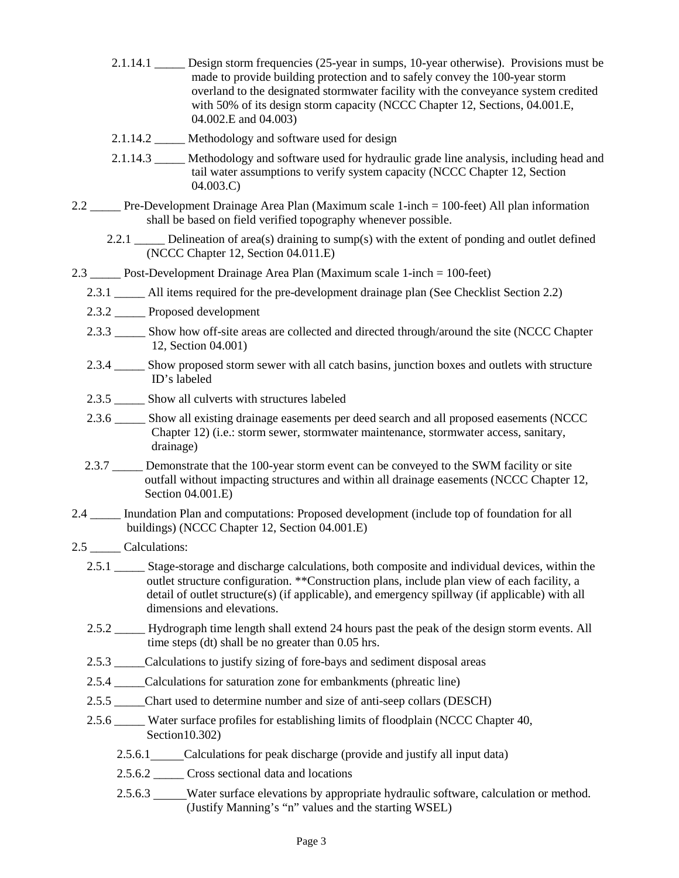2.1.14.1  $\frac{N}{\sqrt{N}}$  Design storm frequencies (25-year in sumps, 10-year otherwise). Provisions must be made to provide building protection and to safely convey the 100-year storm overland to the designated stormwater facility with the conveyance system credited with 50% of its design storm capacity (NCCC Chapter 12, Sections, 04.001.E, 04.002.E and 04.003) 2.1.14.2  $\frac{N}{4}$  Methodology and software used for design Methodology and software used for hydraulic grade line analysis, including head and tail water assumptions to verify system capacity (NCCC Chapter 12, Section 04.003.C) 2.2  $\frac{N}{4}$  Pre-Development Drainage Area Plan (Maximum scale 1-inch = 100-feet) All plan information shall be based on field verified topography whenever possible. 2.2.1  $\frac{N}{\sqrt{N}}$  Delineation of area(s) draining to sump(s) with the extent of ponding and outlet defined (NCCC Chapter 12, Section 04.011.E) 2.3  $N/4$  Post-Development Drainage Area Plan (Maximum scale 1-inch = 100-feet) 2.3.1  $\frac{N}{4}$  All items required for the pre-development drainage plan (See Checklist Section 2.2) 2.3.2  $N/4$  Proposed development 2.3.3  $\frac{N}{4}$  Show how off-site areas are collected and directed through/around the site (NCCC Chapter 12, Section 04.001) Show proposed storm sewer with all catch basins, junction boxes and outlets with structure ID's labeled 2.3.5  $\frac{N}{\sqrt{N}}$  Show all culverts with structures labeled 2.3.6  $\frac{N}{4}$  Show all existing drainage easements per deed search and all proposed easements (NCCC Chapter 12) (i.e.: storm sewer, stormwater maintenance, stormwater access, sanitary, drainage) 2.3.7  $\frac{N}{\sqrt{N}}$  Demonstrate that the 100-year storm event can be conveyed to the SWM facility or site outfall without impacting structures and within all drainage easements (NCCC Chapter 12, Section 04.001.E) 2.4  $\frac{N}{4}$  Inundation Plan and computations: Proposed development (include top of foundation for all buildings) (NCCC Chapter 12, Section 04.001.E) 2.5  $\frac{N}{4}$  Calculations: 2.5.1  $\frac{N}{4}$  Stage-storage and discharge calculations, both composite and individual devices, within the outlet structure configuration. \*\*Construction plans, include plan view of each facility, a detail of outlet structure(s) (if applicable), and emergency spillway (if applicable) with all dimensions and elevations. 2.5.2  $\frac{N}{\sqrt{N}}$  Hydrograph time length shall extend 24 hours past the peak of the design storm events. All time steps (dt) shall be no greater than 0.05 hrs. 2.5.3  $\frac{N}{4}$  Calculations to justify sizing of fore-bays and sediment disposal areas 2.5.4  $\frac{N}{4}$  Calculations for saturation zone for embankments (phreatic line) 2.5.5  $\frac{N}{4}$ Chart used to determine number and size of anti-seep collars (DESCH) 2.5.6  $\frac{N}{4}$  Water surface profiles for establishing limits of floodplain (NCCC Chapter 40, Section10.302) 2.5.6.1  $N/A$  Calculations for peak discharge (provide and justify all input data)<br>2.5.6.2  $N/A$  Cross sectional data and locations 2.5.6.2  $\frac{N}{\sqrt{N}}$  Cross sectional data and locations 2.5.6.3  $N/A$  Water surface elevations by appropriate hydraulic software, calculation or method. (Justify Manning's "n" values and the starting WSEL) 2.1.14.3  $N/\sqrt{N}$  $2.3.4$  N/A  $\overline{V}$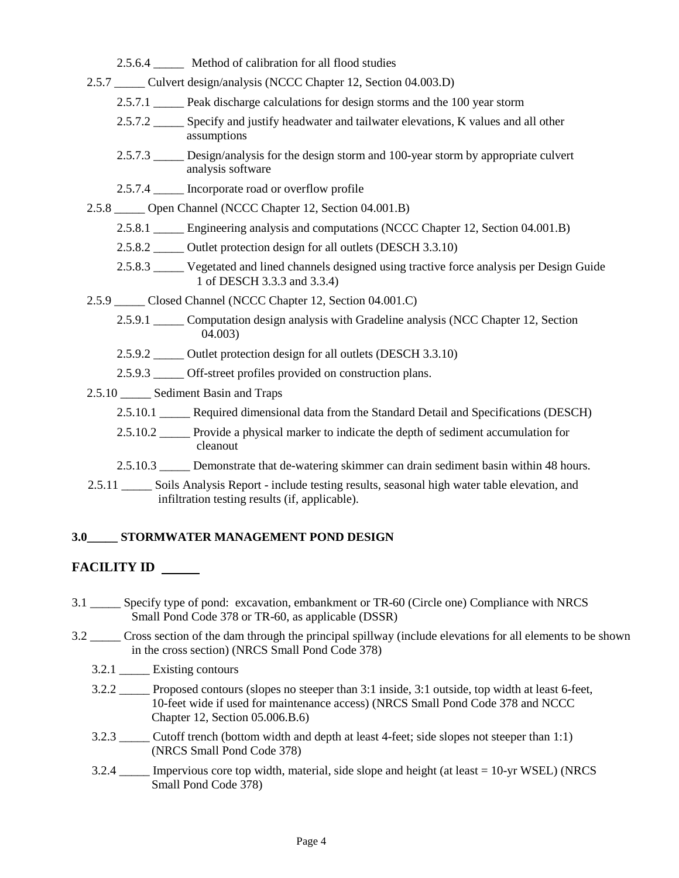| 2.5.6.4 $N/\sqrt{N}$ Method of calibration for all flood studies                                                                                       |
|--------------------------------------------------------------------------------------------------------------------------------------------------------|
| 2.5.7 N/ Culvert design/analysis (NCCC Chapter 12, Section 04.003.D)                                                                                   |
| 2.5.7.1 $N/\sqrt{N}$ Peak discharge calculations for design storms and the 100 year storm                                                              |
| 2.5.7.2 $N/\sqrt{N}$ Specify and justify headwater and tailwater elevations, K values and all other<br>assumptions                                     |
| 2.5.7.3 $N/\sqrt{N}$ Design/analysis for the design storm and 100-year storm by appropriate culvert<br>analysis software                               |
| 2.5.7.4 $N/\sqrt{N}$ Incorporate road or overflow profile                                                                                              |
| 2.5.8 N/ <a>Open Channel (NCCC Chapter 12, Section 04.001.B)</a>                                                                                       |
| 2.5.8.1 $N/\sqrt{N}$ Engineering analysis and computations (NCCC Chapter 12, Section 04.001.B)                                                         |
| 2.5.8.2 $N/\sqrt{N}$ Outlet protection design for all outlets (DESCH 3.3.10)                                                                           |
| 2.5.8.3 N/ $\sqrt{\phantom{a}}$ Vegetated and lined channels designed using tractive force analysis per Design Guide<br>1 of DESCH 3.3.3 and 3.3.4)    |
| 2.5.9 N/ $\sqrt{\phantom{a}}$ Closed Channel (NCCC Chapter 12, Section 04.001.C)                                                                       |
| 2.5.9.1 $N/\sqrt{N}$ Computation design analysis with Gradeline analysis (NCC Chapter 12, Section<br>04.003)                                           |
| 2.5.9.2 $\frac{N}{N}$ Outlet protection design for all outlets (DESCH 3.3.10)                                                                          |
| 2.5.9.3 $N/\sqrt{ }$ Off-street profiles provided on construction plans.                                                                               |
| 2.5.10 $N/\sqrt{\sqrt{2}}$ Sediment Basin and Traps                                                                                                    |
| 2.5.10.1 N/ $\sqrt{\phantom{a}}$ Required dimensional data from the Standard Detail and Specifications (DESCH)                                         |
| 2.5.10.2 $N/\sqrt{\sqrt{2}}$ Provide a physical marker to indicate the depth of sediment accumulation for<br>cleanout                                  |
| 2.5.10.3 $N/\sqrt{N}$ Demonstrate that de-watering skimmer can drain sediment basin within 48 hours.                                                   |
| 2.5.11 N/1 Soils Analysis Report - include testing results, seasonal high water table elevation, and<br>infiltration testing results (if, applicable). |
| 3.0 <sup>N/A</sup> STORMWATER MANAGEMENT POND DESIGN                                                                                                   |

## **FACILITY ID**   $N/I$ <br>CII<br> $N/I$

- 3.1 WAN Specify type of pond: excavation, embankment or TR-60 (Circle one) Compliance with NRCS Small Pond Code 378 or TR-60, as applicable (DSSR)
- 3.2  $\frac{N}{4}$  Cross section of the dam through the principal spillway (include elevations for all elements to be shown in the cross section) (NRCS Small Pond Code 378)
	- 3.2.1  $N/\sqrt{N}$  Existing contours
	- 3.2.2  $\frac{N}{\sqrt{N}}$  Proposed contours (slopes no steeper than 3:1 inside, 3:1 outside, top width at least 6-feet, 10-feet wide if used for maintenance access) (NRCS Small Pond Code 378 and NCCC Chapter 12, Section 05.006.B.6)
	- 3.2.3  $\frac{N}{4}$  Cutoff trench (bottom width and depth at least 4-feet; side slopes not steeper than 1:1) (NRCS Small Pond Code 378)
	- 3.2.4  $\frac{N}{4}$  Impervious core top width, material, side slope and height (at least = 10-yr WSEL) (NRCS Small Pond Code 378)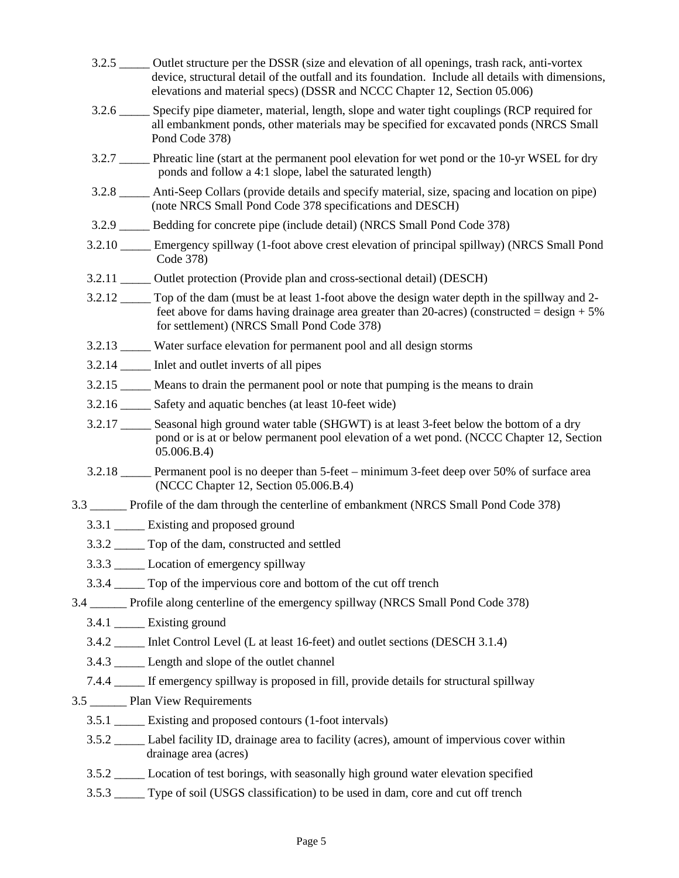|  | 3.2.5 N/ $\sqrt{\bullet}$ Outlet structure per the DSSR (size and elevation of all openings, trash rack, anti-vortex<br>device, structural detail of the outfall and its foundation. Include all details with dimensions,<br>elevations and material specs) (DSSR and NCCC Chapter 12, Section 05.006) |
|--|--------------------------------------------------------------------------------------------------------------------------------------------------------------------------------------------------------------------------------------------------------------------------------------------------------|
|  | 3.2.6 N/ $\sqrt{\phantom{a}}$ Specify pipe diameter, material, length, slope and water tight couplings (RCP required for<br>all embankment ponds, other materials may be specified for excavated ponds (NRCS Small<br>Pond Code 378)                                                                   |
|  | 3.2.7 N/1 Phreatic line (start at the permanent pool elevation for wet pond or the 10-yr WSEL for dry<br>ponds and follow a 4:1 slope, label the saturated length)                                                                                                                                     |
|  | 3.2.8 M/ $\sqrt{\phantom{a}}$ Anti-Seep Collars (provide details and specify material, size, spacing and location on pipe)<br>(note NRCS Small Pond Code 378 specifications and DESCH)                                                                                                                 |
|  | 3.2.9 N/ $\sqrt{\phantom{a}}$ Bedding for concrete pipe (include detail) (NRCS Small Pond Code 378)                                                                                                                                                                                                    |
|  | 3.2.10 N/A Emergency spillway (1-foot above crest elevation of principal spillway) (NRCS Small Pond<br>Code 378)                                                                                                                                                                                       |
|  | 3.2.11 N/ $\sqrt{\bullet}$ Outlet protection (Provide plan and cross-sectional detail) (DESCH)                                                                                                                                                                                                         |
|  | 3.2.12 $N/\sqrt{\bullet}$ Top of the dam (must be at least 1-foot above the design water depth in the spillway and 2-<br>feet above for dams having drainage area greater than 20-acres) (constructed = $\text{design} + 5\%$<br>for settlement) (NRCS Small Pond Code 378)                            |
|  | 3.2.13 <b>N/4</b> Water surface elevation for permanent pool and all design storms                                                                                                                                                                                                                     |
|  | 3.2.14 $N/\sqrt{N}$ Inlet and outlet inverts of all pipes                                                                                                                                                                                                                                              |
|  | 3.2.15 $\frac{N}{\sqrt{2}}$ Means to drain the permanent pool or note that pumping is the means to drain                                                                                                                                                                                               |
|  | 3.2.16 $N/\sqrt{ }$ Safety and aquatic benches (at least 10-feet wide)                                                                                                                                                                                                                                 |
|  | 3.2.17 N/A Seasonal high ground water table (SHGWT) is at least 3-feet below the bottom of a dry<br>pond or is at or below permanent pool elevation of a wet pond. (NCCC Chapter 12, Section<br>05.006.B.4)                                                                                            |
|  | 3.2.18 $N/\sqrt{\sqrt{2}}$ Permanent pool is no deeper than 5-feet – minimum 3-feet deep over 50% of surface area<br>(NCCC Chapter 12, Section 05.006.B.4)                                                                                                                                             |
|  | 3.3 N/A Profile of the dam through the centerline of embankment (NRCS Small Pond Code 378)                                                                                                                                                                                                             |
|  | 3.3.1 $N/\sqrt{N}$ Existing and proposed ground                                                                                                                                                                                                                                                        |
|  | 3.3.2 $N/\sqrt{N}$ Top of the dam, constructed and settled                                                                                                                                                                                                                                             |
|  | 3.3.3 N/ <a>Location of emergency spillway</a>                                                                                                                                                                                                                                                         |
|  | 3.3.4 N/ $\sqrt{\phantom{a}}$ Top of the impervious core and bottom of the cut off trench                                                                                                                                                                                                              |
|  | 3.4 N/A Profile along centerline of the emergency spillway (NRCS Small Pond Code 378)                                                                                                                                                                                                                  |
|  | 3.4.1 $N/ \mathbf{Y} $ Existing ground                                                                                                                                                                                                                                                                 |
|  | 3.4.2 MAY Inlet Control Level (L at least 16-feet) and outlet sections (DESCH 3.1.4)                                                                                                                                                                                                                   |
|  | 3.4.3 N/ $\sqrt{\phantom{a}}$ Length and slope of the outlet channel                                                                                                                                                                                                                                   |
|  | 7.4.4 $\frac{N}{\sqrt{N}}$ If emergency spillway is proposed in fill, provide details for structural spillway                                                                                                                                                                                          |
|  | 3.5 N/A     Plan View Requirements                                                                                                                                                                                                                                                                     |
|  | 3.5.1 $N/\sqrt{N}$ Existing and proposed contours (1-foot intervals)                                                                                                                                                                                                                                   |
|  | 3.5.2 <u>N/A Label</u> facility ID, drainage area to facility (acres), amount of impervious cover within<br>drainage area (acres)                                                                                                                                                                      |
|  | 3.5.2 <b>N/4<sup><math>\bullet</math></sup></b> Location of test borings, with seasonally high ground water elevation specified                                                                                                                                                                        |
|  | 3.5.3 N/ $\sqrt{\phantom{a}}$ Type of soil (USGS classification) to be used in dam, core and cut off trench                                                                                                                                                                                            |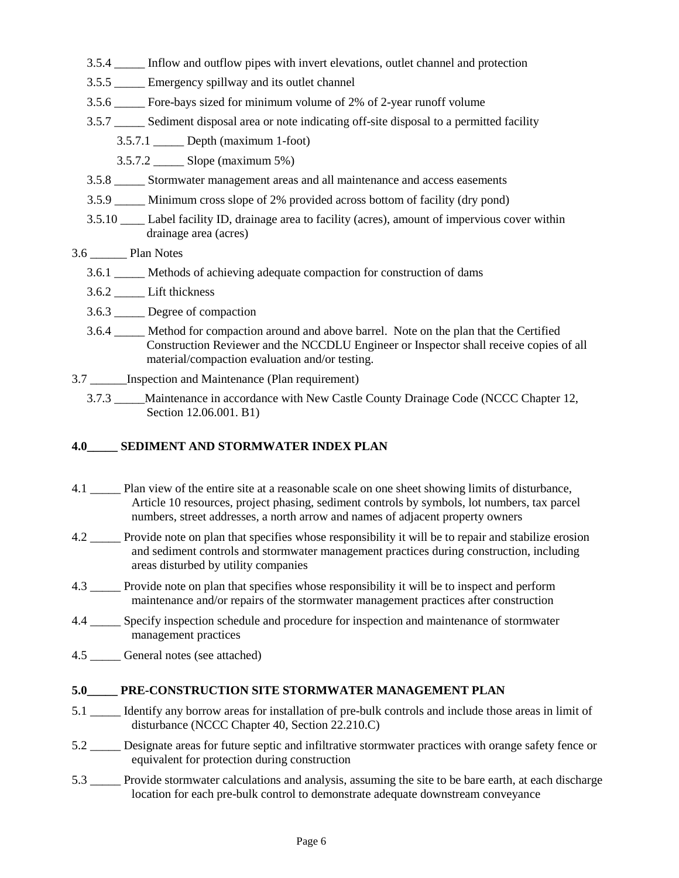3.5.4  $\frac{N}{4}$  Inflow and outflow pipes with invert elevations, outlet channel and protection 3.5.5  $\frac{N}{\sqrt{N}}$  Emergency spillway and its outlet channel 3.5.6  $\frac{N}{\sqrt{N}}$  Fore-bays sized for minimum volume of 2% of 2-year runoff volume 3.5.7  $\frac{N}{4}$  Sediment disposal area or note indicating off-site disposal to a permitted facility 3.5.7.1  $N/4$  Depth (maximum 1-foot) 3.5.7.2  $\frac{N}{4}$  Slope (maximum 5%) 3.5.8  $\frac{N}{4}$  Stormwater management areas and all maintenance and access easements 3.5.9  $\frac{N}{\sqrt{N}}$  Minimum cross slope of 2% provided across bottom of facility (dry pond)<br>3.5.10  $\sqrt{N}$  Label facility ID drainage area to facility (acres) amount of impervious c 3.5.10  $\sqrt{\phantom{a}}$  Label facility ID, drainage area to facility (acres), amount of impervious cover within drainage area (acres)  $3.6 \underline{N/A}$  Plan Notes 3.6.1  $\frac{N}{4}$  Methods of achieving adequate compaction for construction of dams 3.6.2  $N/\sqrt{N}$  Lift thickness 3.6.3  $N/\sqrt{N}$  Degree of compaction 3.6.4  $\frac{N}{4}$  Method for compaction around and above barrel. Note on the plan that the Certified Construction Reviewer and the NCCDLU Engineer or Inspector shall receive copies of all material/compaction evaluation and/or testing. 3.7  $N/A$  Inspection and Maintenance (Plan requirement) 3.7.3  $\frac{N}{4}$  Maintenance in accordance with New Castle County Drainage Code (NCCC Chapter 12, Section 12.06.001. B1)

# **4.0<sup>N/</sup><sup>A</sup> SEDIMENT AND STORMWATER INDEX PLAN**<br> **A** 1 <sup>N/</sup><sup>A</sup> Plan view of the entire site at a reasonable scale on on

- 4.1  $N/\sqrt{N}$  Plan view of the entire site at a reasonable scale on one sheet showing limits of disturbance, Article 10 resources, project phasing, sediment controls by symbols, lot numbers, tax parcel numbers, street addresses, a north arrow and names of adjacent property owners
- 4.2  $\frac{N}{4}$  Provide note on plan that specifies whose responsibility it will be to repair and stabilize erosion and sediment controls and stormwater management practices during construction, including areas disturbed by utility companies
- 4.3  $\frac{N}{4}$  Provide note on plan that specifies whose responsibility it will be to inspect and perform maintenance and/or repairs of the stormwater management practices after construction
- Specify inspection schedule and procedure for inspection and maintenance of stormwater management practices N/A
- 4.5  $\frac{N}{4}$  General notes (see attached)

### **5.0<sup>N/A</sup><sup>N</sup> PRE-CONSTRUCTION SITE STORMWATER MANAGEMENT PLAN**<br>5.1 N/A<sup>N</sup> Identify any borrow areas for installation of pre-bulk controls and include thos

- 5.1  $N/\sqrt{\bullet}$  Identify any borrow areas for installation of pre-bulk controls and include those areas in limit of disturbance (NCCC Chapter 40, Section 22.210.C)
- 5.2  $\frac{N}{4}$  Designate areas for future septic and infiltrative stormwater practices with orange safety fence or equivalent for protection during construction
- 5.3  $\frac{N}{4}$  Provide stormwater calculations and analysis, assuming the site to be bare earth, at each discharge location for each pre-bulk control to demonstrate adequate downstream conveyance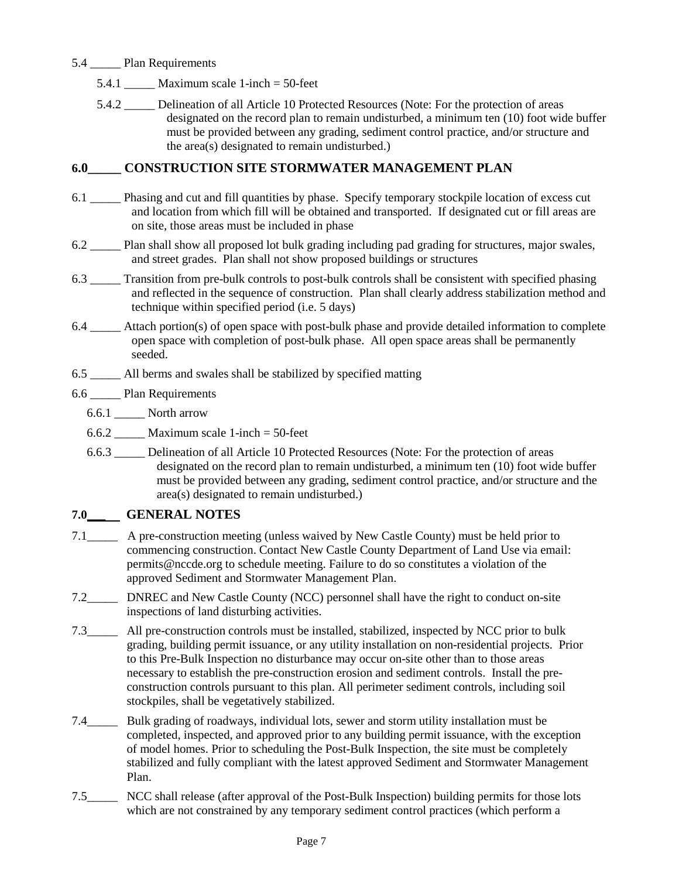- 5.4  $M/2$  Plan Requirements
	- 5.4.1  $\frac{N}{\sqrt{N}}$  Maximum scale 1-inch = 50-feet

5.4.2  $\frac{N}{\sqrt{N}}$  Delineation of all Article 10 Protected Resources (Note: For the protection of areas designated on the record plan to remain undisturbed, a minimum ten (10) foot wide buffer must be provided between any grading, sediment control practice, and/or structure and the area(s) designated to remain undisturbed.)

# **6.0<sup>N/A</sup><sup>T</sup> CONSTRUCTION SITE STORMWATER MANAGEMENT PLAN**<br>6.1 N/AT phasing and cut and fill quantities by phase . Specify temporary stockpile locati

- 6.1  $N/\sqrt{N}$  Phasing and cut and fill quantities by phase. Specify temporary stockpile location of excess cut and location from which fill will be obtained and transported. If designated cut or fill areas are on site, those areas must be included in phase
- 6.2  $\frac{N}{4}$  Plan shall show all proposed lot bulk grading including pad grading for structures, major swales, and street grades. Plan shall not show proposed buildings or structures
- 6.3  $\frac{N}{4}$  Transition from pre-bulk controls to post-bulk controls shall be consistent with specified phasing and reflected in the sequence of construction. Plan shall clearly address stabilization method and technique within specified period (i.e. 5 days)
- 6.4  $\frac{N}{4}$  Attach portion(s) of open space with post-bulk phase and provide detailed information to complete open space with completion of post-bulk phase. All open space areas shall be permanently seeded.
- 6.5  $N/4$  All berms and swales shall be stabilized by specified matting
- 6.6  $N/4$  Plan Requirements
	- 6.6.1  $N/\sqrt{N}$  North arrow
	- 6.6.2  $\frac{N}{\sqrt{N}}$  Maximum scale 1-inch = 50-feet
	- 6.6.3  $\frac{N}{4}$  Delineation of all Article 10 Protected Resources (Note: For the protection of areas designated on the record plan to remain undisturbed, a minimum ten (10) foot wide buffer must be provided between any grading, sediment control practice, and/or structure and the area(s) designated to remain undisturbed.)



#### **7.0\_\_\_ GENERAL NOTES**

A pre-construction meeting (unless waived by New Castle County) must be held prior to commencing construction. Contact New Castle County Department of Land Use via email: permits@nccde.org to schedule meeting. Failure to do so constitutes a violation of the approved Sediment and Stormwater Management Plan.



DNREC and New Castle County (NCC) personnel shall have the right to conduct on-site inspections of land disturbing activities.

All pre-construction controls must be installed, stabilized, inspected by NCC prior to bulk grading, building permit issuance, or any utility installation on non-residential projects. Prior to this Pre-Bulk Inspection no disturbance may occur on-site other than to those areas necessary to establish the pre-construction erosion and sediment controls. Install the preconstruction controls pursuant to this plan. All perimeter sediment controls, including soil stockpiles, shall be vegetatively stabilized.  $7.3$ N/A $\blacktriangleright$ 



Bulk grading of roadways, individual lots, sewer and storm utility installation must be completed, inspected, and approved prior to any building permit issuance, with the exception of model homes. Prior to scheduling the Post-Bulk Inspection, the site must be completely stabilized and fully compliant with the latest approved Sediment and Stormwater Management Plan.



NCC shall release (after approval of the Post-Bulk Inspection) building permits for those lots which are not constrained by any temporary sediment control practices (which perform a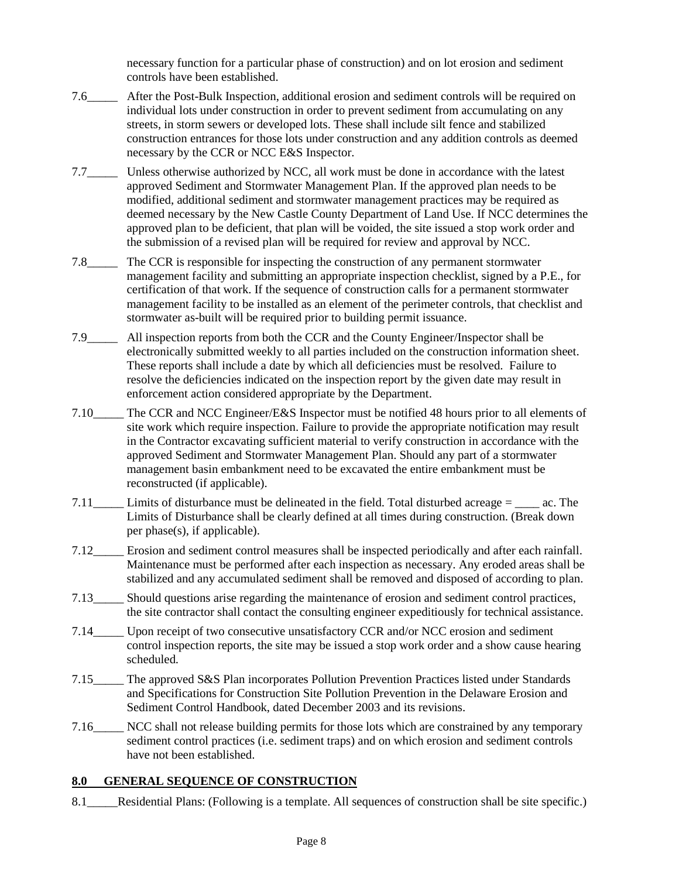necessary function for a particular phase of construction) and on lot erosion and sediment controls have been established.



N/A

7.6\_\_\_\_\_ After the Post-Bulk Inspection, additional erosion and sediment controls will be required on individual lots under construction in order to prevent sediment from accumulating on any streets, in storm sewers or developed lots. These shall include silt fence and stabilized construction entrances for those lots under construction and any addition controls as deemed necessary by the CCR or NCC E&S Inspector.

7.7  $\Box$  Unless otherwise authorized by NCC, all work must be done in accordance with the latest approved Sediment and Stormwater Management Plan. If the approved plan needs to be modified, additional sediment and stormwater management practices may be required as deemed necessary by the New Castle County Department of Land Use. If NCC determines the approved plan to be deficient, that plan will be voided, the site issued a stop work order and the submission of a revised plan will be required for review and approval by NCC.





7.8  $\Box$  The CCR is responsible for inspecting the construction of any permanent stormwater management facility and submitting an appropriate inspection checklist, signed by a P.E., for certification of that work. If the sequence of construction calls for a permanent stormwater management facility to be installed as an element of the perimeter controls, that checklist and stormwater as-built will be required prior to building permit issuance.

> All inspection reports from both the CCR and the County Engineer/Inspector shall be electronically submitted weekly to all parties included on the construction information sheet. These reports shall include a date by which all deficiencies must be resolved. Failure to resolve the deficiencies indicated on the inspection report by the given date may result in enforcement action considered appropriate by the Department.

- 7.10\_U\_I The CCR and NCC Engineer/E&S Inspector must be notified 48 hours prior to all elements of site work which require inspection. Failure to provide the appropriate notification may result in the Contractor excavating sufficient material to verify construction in accordance with the approved Sediment and Stormwater Management Plan. Should any part of a stormwater management basin embankment need to be excavated the entire embankment must be reconstructed (if applicable).  $N/l$
- 7.11  $\Box$  Limits of disturbance must be delineated in the field. Total disturbed acreage =  $\Box$  ac. The Limits of Disturbance shall be clearly defined at all times during construction. (Break down per phase(s), if applicable). N/A
- 7.12 **L** Erosion and sediment control measures shall be inspected periodically and after each rainfall. Maintenance must be performed after each inspection as necessary. Any eroded areas shall be stabilized and any accumulated sediment shall be removed and disposed of according to plan.  $N/$
- 7.13\_\_\_\_\_ Should questions arise regarding the maintenance of erosion and sediment control practices, the site contractor shall contact the consulting engineer expeditiously for technical assistance.  $N/4$
- 7.14<sup>. "T</sup>U Upon receipt of two consecutive unsatisfactory CCR and/or NCC erosion and sediment control inspection reports, the site may be issued a stop work order and a show cause hearing scheduled.  $N/\sqrt{2}$
- 7.15\_\_\_\_\_ The approved S&S Plan incorporates Pollution Prevention Practices listed under Standards and Specifications for Construction Site Pollution Prevention in the Delaware Erosion and Sediment Control Handbook, dated December 2003 and its revisions.  $N/d$
- 7.16\_\_\_\_\_ NCC shall not release building permits for those lots which are constrained by any temporary sediment control practices (i.e. sediment traps) and on which erosion and sediment controls have not been established.

#### **8.0 GENERAL SEQUENCE OF CONSTRUCTION**

Residential Plans: (Following is a template. All sequences of construction shall be site specific.)  $8.1$  N/A  $\sim$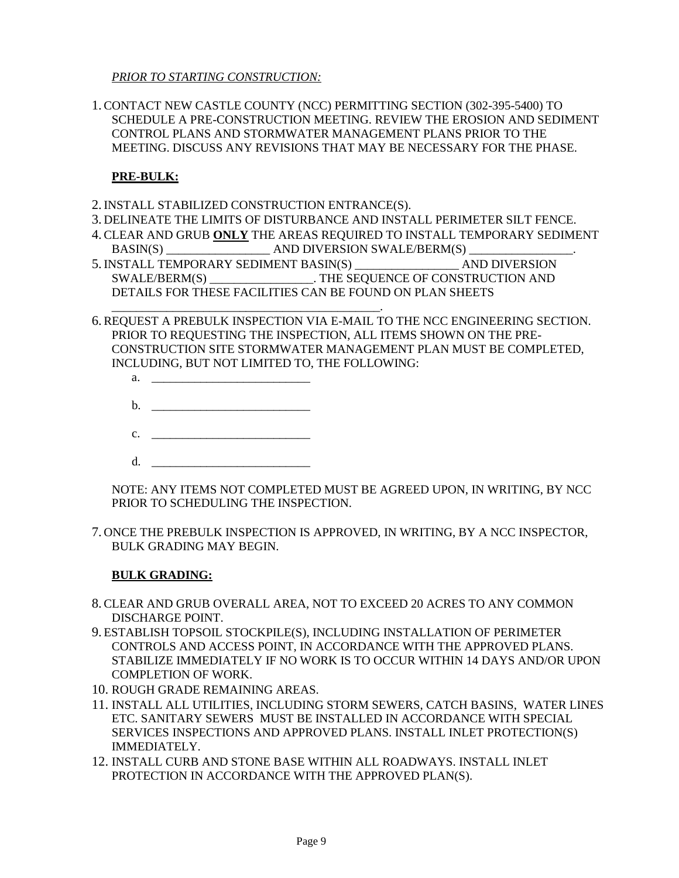*PRIOR TO STARTING CONSTRUCTION:*

1.CONTACT NEW CASTLE COUNTY (NCC) PERMITTING SECTION (302-395-5400) TO SCHEDULE A PRE-CONSTRUCTION MEETING. REVIEW THE EROSION AND SEDIMENT CONTROL PLANS AND STORMWATER MANAGEMENT PLANS PRIOR TO THE MEETING. DISCUSS ANY REVISIONS THAT MAY BE NECESSARY FOR THE PHASE.

#### **PRE-BULK:**

- 2.INSTALL STABILIZED CONSTRUCTION ENTRANCE(S).
- 3. DELINEATE THE LIMITS OF DISTURBANCE AND INSTALL PERIMETER SILT FENCE.
- 4.CLEAR AND GRUB **ONLY** THE AREAS REQUIRED TO INSTALL TEMPORARY SEDIMENT BASIN(S) AND DIVERSION SWALE/BERM(S)
- 5.INSTALL TEMPORARY SEDIMENT BASIN(S) \_\_\_\_\_\_\_\_\_\_\_\_\_\_\_\_\_ AND DIVERSION SWALE/BERM(S) \_\_\_\_\_\_\_\_\_\_\_\_\_\_\_\_\_. THE SEQUENCE OF CONSTRUCTION AND DETAILS FOR THESE FACILITIES CAN BE FOUND ON PLAN SHEETS
- \_\_\_\_\_\_\_\_\_\_\_\_\_\_\_\_\_\_\_\_\_\_\_\_\_\_\_\_\_\_\_\_\_\_\_\_\_\_\_\_\_\_\_\_. 6.REQUEST A PREBULK INSPECTION VIA E-MAIL TO THE NCC ENGINEERING SECTION. PRIOR TO REQUESTING THE INSPECTION, ALL ITEMS SHOWN ON THE PRE-CONSTRUCTION SITE STORMWATER MANAGEMENT PLAN MUST BE COMPLETED, INCLUDING, BUT NOT LIMITED TO, THE FOLLOWING:
	- a. <u>\_\_\_\_\_\_\_\_\_\_\_\_\_\_\_\_\_\_\_\_\_\_\_\_\_\_\_\_\_\_\_\_\_\_\_</u>
	- $\mathbf b$ .
	- c. <u>\_\_\_\_\_\_\_\_\_\_\_\_\_\_\_\_\_\_\_\_\_\_\_\_\_\_\_\_\_\_\_</u>
	- $d.$

NOTE: ANY ITEMS NOT COMPLETED MUST BE AGREED UPON, IN WRITING, BY NCC PRIOR TO SCHEDULING THE INSPECTION.

7. ONCE THE PREBULK INSPECTION IS APPROVED, IN WRITING, BY A NCC INSPECTOR, BULK GRADING MAY BEGIN.

#### **BULK GRADING:**

- 8.CLEAR AND GRUB OVERALL AREA, NOT TO EXCEED 20 ACRES TO ANY COMMON DISCHARGE POINT.
- 9. ESTABLISH TOPSOIL STOCKPILE(S), INCLUDING INSTALLATION OF PERIMETER CONTROLS AND ACCESS POINT, IN ACCORDANCE WITH THE APPROVED PLANS. STABILIZE IMMEDIATELY IF NO WORK IS TO OCCUR WITHIN 14 DAYS AND/OR UPON COMPLETION OF WORK.
- 10. ROUGH GRADE REMAINING AREAS.
- 11. INSTALL ALL UTILITIES, INCLUDING STORM SEWERS, CATCH BASINS, WATER LINES ETC. SANITARY SEWERS MUST BE INSTALLED IN ACCORDANCE WITH SPECIAL SERVICES INSPECTIONS AND APPROVED PLANS. INSTALL INLET PROTECTION(S) IMMEDIATELY.
- 12. INSTALL CURB AND STONE BASE WITHIN ALL ROADWAYS. INSTALL INLET PROTECTION IN ACCORDANCE WITH THE APPROVED PLAN(S).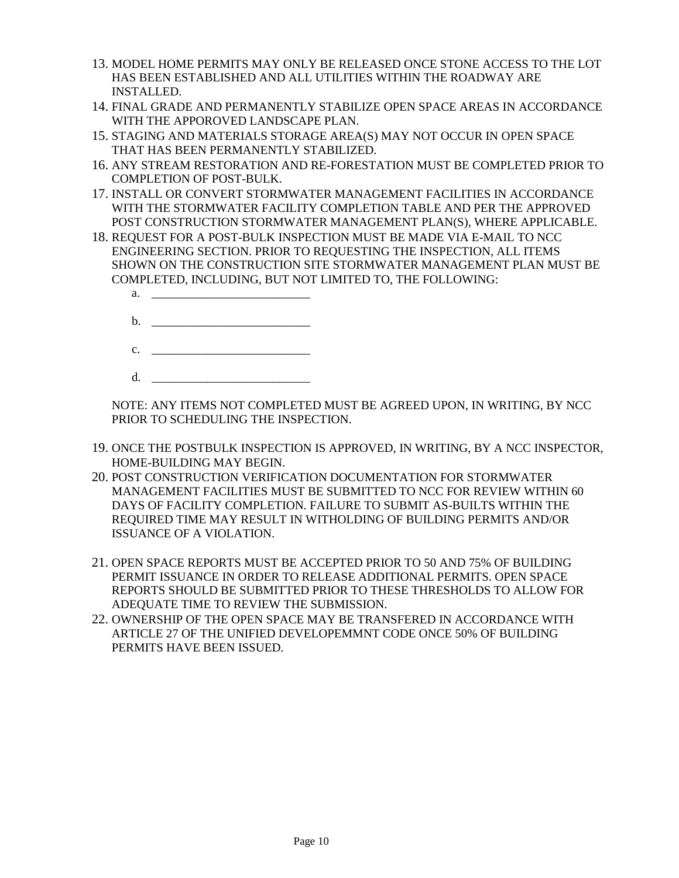- 13. MODEL HOME PERMITS MAY ONLY BE RELEASED ONCE STONE ACCESS TO THE LOT HAS BEEN ESTABLISHED AND ALL UTILITIES WITHIN THE ROADWAY ARE INSTALLED.
- 14. FINAL GRADE AND PERMANENTLY STABILIZE OPEN SPACE AREAS IN ACCORDANCE WITH THE APPOROVED LANDSCAPE PLAN.
- 15. STAGING AND MATERIALS STORAGE AREA(S) MAY NOT OCCUR IN OPEN SPACE THAT HAS BEEN PERMANENTLY STABILIZED.
- 16. ANY STREAM RESTORATION AND RE-FORESTATION MUST BE COMPLETED PRIOR TO COMPLETION OF POST-BULK.
- 17. INSTALL OR CONVERT STORMWATER MANAGEMENT FACILITIES IN ACCORDANCE WITH THE STORMWATER FACILITY COMPLETION TABLE AND PER THE APPROVED POST CONSTRUCTION STORMWATER MANAGEMENT PLAN(S), WHERE APPLICABLE.
- 18. REQUEST FOR A POST-BULK INSPECTION MUST BE MADE VIA E-MAIL TO NCC ENGINEERING SECTION. PRIOR TO REQUESTING THE INSPECTION, ALL ITEMS SHOWN ON THE CONSTRUCTION SITE STORMWATER MANAGEMENT PLAN MUST BE COMPLETED, INCLUDING, BUT NOT LIMITED TO, THE FOLLOWING:
	- a. \_\_\_\_\_\_\_\_\_\_\_\_\_\_\_\_\_\_\_\_\_\_\_\_\_\_
	- $\mathbf b$ .  $c.$
	- d. <u>\_\_\_\_\_\_\_\_\_\_\_\_\_\_\_\_\_\_\_\_\_\_\_\_\_\_\_\_\_\_\_\_\_\_\_</u>

NOTE: ANY ITEMS NOT COMPLETED MUST BE AGREED UPON, IN WRITING, BY NCC PRIOR TO SCHEDULING THE INSPECTION.

- 19. ONCE THE POSTBULK INSPECTION IS APPROVED, IN WRITING, BY A NCC INSPECTOR, HOME-BUILDING MAY BEGIN.
- 20. POST CONSTRUCTION VERIFICATION DOCUMENTATION FOR STORMWATER MANAGEMENT FACILITIES MUST BE SUBMITTED TO NCC FOR REVIEW WITHIN 60 DAYS OF FACILITY COMPLETION. FAILURE TO SUBMIT AS-BUILTS WITHIN THE REQUIRED TIME MAY RESULT IN WITHOLDING OF BUILDING PERMITS AND/OR ISSUANCE OF A VIOLATION.
- 21. OPEN SPACE REPORTS MUST BE ACCEPTED PRIOR TO 50 AND 75% OF BUILDING PERMIT ISSUANCE IN ORDER TO RELEASE ADDITIONAL PERMITS. OPEN SPACE REPORTS SHOULD BE SUBMITTED PRIOR TO THESE THRESHOLDS TO ALLOW FOR ADEQUATE TIME TO REVIEW THE SUBMISSION.
- 22. OWNERSHIP OF THE OPEN SPACE MAY BE TRANSFERED IN ACCORDANCE WITH ARTICLE 27 OF THE UNIFIED DEVELOPEMMNT CODE ONCE 50% OF BUILDING PERMITS HAVE BEEN ISSUED.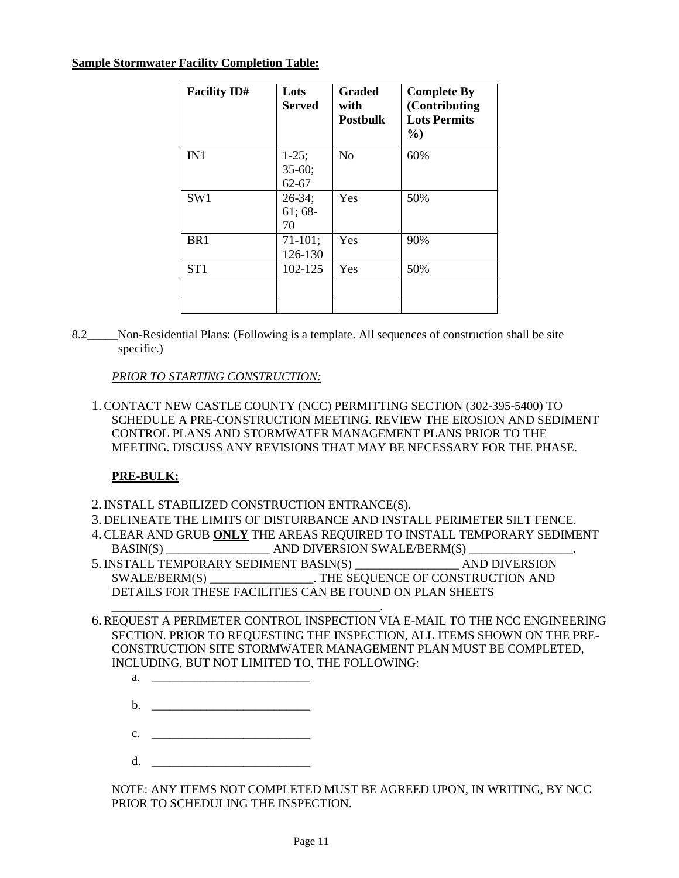#### **Sample Stormwater Facility Completion Table:**

| <b>Facility ID#</b> | Lots<br><b>Served</b>            | <b>Graded</b><br>with<br><b>Postbulk</b> | <b>Complete By</b><br>(Contributing)<br><b>Lots Permits</b><br>$\frac{0}{0}$ |
|---------------------|----------------------------------|------------------------------------------|------------------------------------------------------------------------------|
| IN1                 | $1-25;$<br>$35-60;$<br>$62 - 67$ | N <sub>o</sub>                           | 60%                                                                          |
| SW1                 | $26 - 34$ ;<br>$61;68-$<br>70    | Yes                                      | 50%                                                                          |
| BR <sub>1</sub>     | $71-101;$<br>126-130             | Yes                                      | 90%                                                                          |
| ST <sub>1</sub>     | 102-125                          | Yes                                      | 50%                                                                          |
|                     |                                  |                                          |                                                                              |

8.2 $N/\sqrt{N}$  Non-Residential Plans: (Following is a template. All sequences of construction shall be site specific.)

#### *PRIOR TO STARTING CONSTRUCTION:*

1.CONTACT NEW CASTLE COUNTY (NCC) PERMITTING SECTION (302-395-5400) TO SCHEDULE A PRE-CONSTRUCTION MEETING. REVIEW THE EROSION AND SEDIMENT CONTROL PLANS AND STORMWATER MANAGEMENT PLANS PRIOR TO THE MEETING. DISCUSS ANY REVISIONS THAT MAY BE NECESSARY FOR THE PHASE.

#### **PRE-BULK:**

2.INSTALL STABILIZED CONSTRUCTION ENTRANCE(S).

\_\_\_\_\_\_\_\_\_\_\_\_\_\_\_\_\_\_\_\_\_\_\_\_\_\_\_\_\_\_\_\_\_\_\_\_\_\_\_\_\_\_\_\_.

- 3. DELINEATE THE LIMITS OF DISTURBANCE AND INSTALL PERIMETER SILT FENCE.
- 4.CLEAR AND GRUB **ONLY** THE AREAS REQUIRED TO INSTALL TEMPORARY SEDIMENT BASIN(S) \_\_\_\_\_\_\_\_\_\_\_\_\_\_\_\_\_ AND DIVERSION SWALE/BERM(S) \_\_\_\_\_\_\_\_\_\_\_\_\_\_\_\_\_.
- 5. INSTALL TEMPORARY SEDIMENT BASIN(S) AND DIVERSION SWALE/BERM(S) \_\_\_\_\_\_\_\_\_\_\_\_\_\_\_\_\_. THE SEQUENCE OF CONSTRUCTION AND DETAILS FOR THESE FACILITIES CAN BE FOUND ON PLAN SHEETS
- 6.REQUEST A PERIMETER CONTROL INSPECTION VIA E-MAIL TO THE NCC ENGINEERING SECTION. PRIOR TO REQUESTING THE INSPECTION, ALL ITEMS SHOWN ON THE PRE-CONSTRUCTION SITE STORMWATER MANAGEMENT PLAN MUST BE COMPLETED, INCLUDING, BUT NOT LIMITED TO, THE FOLLOWING:
	- a. \_\_\_\_\_\_\_\_\_\_\_\_\_\_\_\_\_\_\_\_\_\_\_\_\_\_
	- b. \_\_\_\_\_\_\_\_\_\_\_\_\_\_\_\_\_\_\_\_\_\_\_\_\_\_
	- c. \_\_\_\_\_\_\_\_\_\_\_\_\_\_\_\_\_\_\_\_\_\_\_\_\_\_
	- $d.$

NOTE: ANY ITEMS NOT COMPLETED MUST BE AGREED UPON, IN WRITING, BY NCC PRIOR TO SCHEDULING THE INSPECTION.